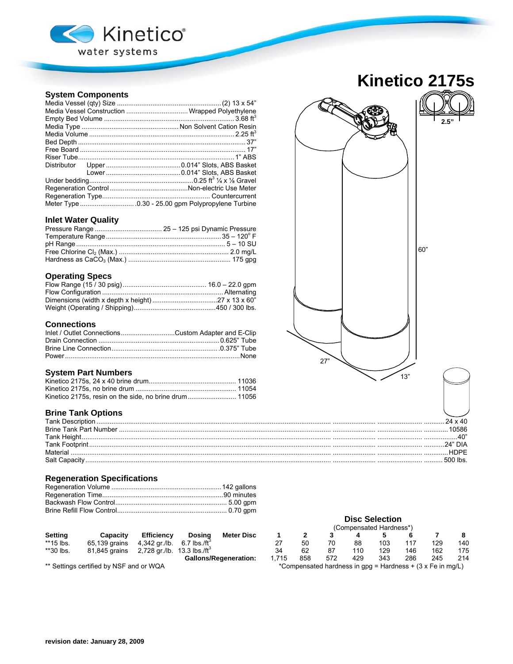

## **System Components**

|  | Media Vessel Construction  Wrapped Polyethylene |  |  |  |  |  |
|--|-------------------------------------------------|--|--|--|--|--|
|  |                                                 |  |  |  |  |  |
|  |                                                 |  |  |  |  |  |
|  |                                                 |  |  |  |  |  |
|  |                                                 |  |  |  |  |  |
|  |                                                 |  |  |  |  |  |
|  |                                                 |  |  |  |  |  |
|  |                                                 |  |  |  |  |  |
|  |                                                 |  |  |  |  |  |
|  |                                                 |  |  |  |  |  |
|  |                                                 |  |  |  |  |  |
|  |                                                 |  |  |  |  |  |
|  |                                                 |  |  |  |  |  |

### **Inlet Water Quality**

### **Operating Specs**

# **Connections**

| Inlet / Outlet ConnectionsCustom Adapter and E-Clip |  |
|-----------------------------------------------------|--|
|                                                     |  |
|                                                     |  |
|                                                     |  |

### **System Part Numbers**

## **Brine Tank Options**

|          | DIA |
|----------|-----|
| Material |     |
|          |     |

### **Regeneration Specifications**

|           |                                                       |                   |                             | , ounivonoa, ou na unovo |     |            |     |     |            |     |     |  |
|-----------|-------------------------------------------------------|-------------------|-----------------------------|--------------------------|-----|------------|-----|-----|------------|-----|-----|--|
| Setting   | Capacity                                              | <b>Efficiency</b> | <b>Meter Disc</b><br>Dosina |                          |     |            |     |     |            |     |     |  |
| **15 lbs. | 65,139 grains 4,342 gr./lb. 6.7 lbs./ft <sup>2</sup>  |                   |                             |                          | 50  |            | 88  | 103 | 117        | 129 | 14( |  |
| **30 lbs. | 81,845 grains 2,728 gr./lb. 13.3 lbs./ft <sup>3</sup> |                   |                             |                          |     |            | 110 | 129 | 146        | 162 | 175 |  |
|           |                                                       |                   | Callone/Dogonoration:       | <b>715</b>               | QED | <b>572</b> | 12Q | 212 | <b>ORG</b> | つんに | 21  |  |

|                |                                         |                                           |                            |                              | <b>Disc Selection</b>   |     |     |     |                                                              |     |     |     |
|----------------|-----------------------------------------|-------------------------------------------|----------------------------|------------------------------|-------------------------|-----|-----|-----|--------------------------------------------------------------|-----|-----|-----|
|                |                                         |                                           |                            |                              | (Compensated Hardness*) |     |     |     |                                                              |     |     |     |
| <b>Setting</b> | Capacity                                | <b>Efficiency</b>                         | Dosina                     | <b>Meter Disc</b>            |                         |     |     |     |                                                              |     |     |     |
| **15 lbs.      | 65,139 grains                           | 4,342 gr./lb.                             | $6.7$ lbs./ft <sup>3</sup> |                              | 27                      | 50  | 70  | 88  | 103                                                          | 117 | 129 | 140 |
| **30 lbs.      | 81.845 grains                           | 2,728 gr./lb. $13.3$ lbs./ft <sup>3</sup> |                            |                              | 34                      | 62  | 87  | 110 | 129                                                          | 146 | 162 | 175 |
|                |                                         |                                           |                            | <b>Gallons/Regeneration:</b> | .715                    | 858 | 572 | 429 | 343                                                          | 286 | 245 | 214 |
|                | ** Settings certified by NSF and or WQA |                                           |                            |                              |                         |     |     |     | *Compensated hardness in $qpq =$ Hardness + (3 x Fe in mq/L) |     |     |     |

**Kinetico 2175s**